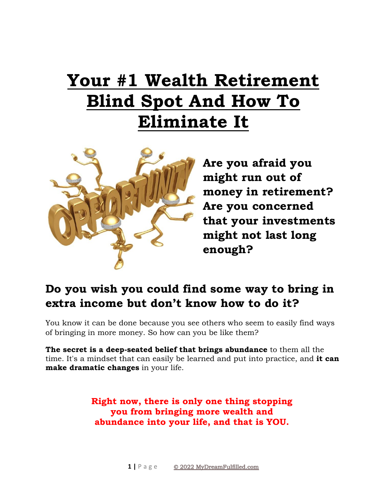# **Your #1 Wealth Retirement Blind Spot And How To Eliminate It**



**Are you afraid you might run out of money in retirement? Are you concerned that your investments might not last long enough?**

## **Do you wish you could find some way to bring in extra income but don't know how to do it?**

You know it can be done because you see others who seem to easily find ways of bringing in more money. So how can you be like them?

**The secret is a deep-seated belief that brings abundance** to them all the time. It's a mindset that can easily be learned and put into practice, and **it can make dramatic changes** in your life.

> **Right now, there is only one thing stopping you from bringing more wealth and abundance into your life, and that is YOU.**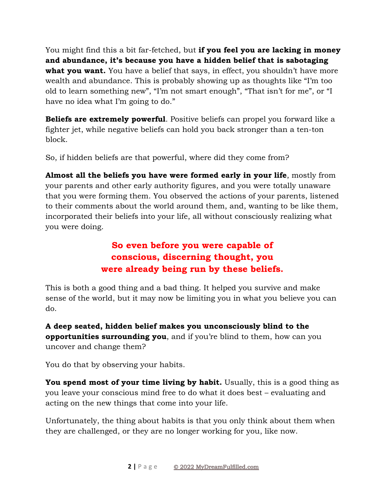You might find this a bit far-fetched, but **if you feel you are lacking in money and abundance, it's because you have a hidden belief that is sabotaging what you want.** You have a belief that says, in effect, you shouldn't have more wealth and abundance. This is probably showing up as thoughts like "I'm too old to learn something new", "I'm not smart enough", "That isn't for me", or "I have no idea what I'm going to do."

**Beliefs are extremely powerful**. Positive beliefs can propel you forward like a fighter jet, while negative beliefs can hold you back stronger than a ten-ton block.

So, if hidden beliefs are that powerful, where did they come from?

**Almost all the beliefs you have were formed early in your life**, mostly from your parents and other early authority figures, and you were totally unaware that you were forming them. You observed the actions of your parents, listened to their comments about the world around them, and, wanting to be like them, incorporated their beliefs into your life, all without consciously realizing what you were doing.

## **So even before you were capable of conscious, discerning thought, you were already being run by these beliefs.**

This is both a good thing and a bad thing. It helped you survive and make sense of the world, but it may now be limiting you in what you believe you can do.

**A deep seated, hidden belief makes you unconsciously blind to the opportunities surrounding you**, and if you're blind to them, how can you uncover and change them?

You do that by observing your habits.

**You spend most of your time living by habit.** Usually, this is a good thing as you leave your conscious mind free to do what it does best – evaluating and acting on the new things that come into your life.

Unfortunately, the thing about habits is that you only think about them when they are challenged, or they are no longer working for you, like now.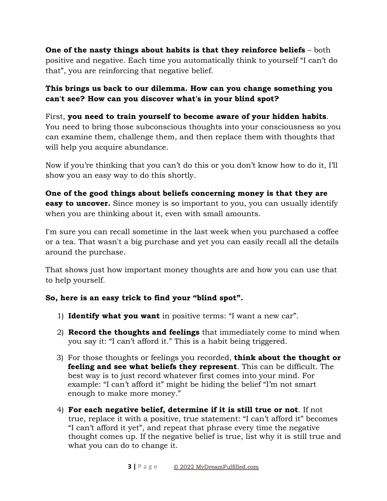**One of the nasty things about habits is that they reinforce beliefs** – both positive and negative. Each time you automatically think to yourself "I can't do that", you are reinforcing that negative belief.

#### **This brings us back to our dilemma. How can you change something you can't see? How can you discover what's in your blind spot?**

#### First, **you need to train yourself to become aware of your hidden habits**. You need to bring those subconscious thoughts into your consciousness so you can examine them, challenge them, and then replace them with thoughts that will help you acquire abundance.

Now if you're thinking that you can't do this or you don't know how to do it, I'll show you an easy way to do this shortly.

**One of the good things about beliefs concerning money is that they are easy to uncover.** Since money is so important to you, you can usually identify when you are thinking about it, even with small amounts.

I'm sure you can recall sometime in the last week when you purchased a coffee or a tea. That wasn't a big purchase and yet you can easily recall all the details around the purchase.

That shows just how important money thoughts are and how you can use that to help yourself.

#### **So, here is an easy trick to find your "blind spot".**

- 1) **Identify what you want** in positive terms: "I want a new car".
- 2) **Record the thoughts and feelings** that immediately come to mind when you say it: "I can't afford it." This is a habit being triggered.
- 3) For those thoughts or feelings you recorded, **think about the thought or feeling and see what beliefs they represent**. This can be difficult. The best way is to just record whatever first comes into your mind. For example: "I can't afford it" might be hiding the belief "I'm not smart enough to make more money."
- 4) **For each negative belief, determine if it is still true or not**. If not true, replace it with a positive, true statement: "I can't afford it" becomes "I can't afford it yet", and repeat that phrase every time the negative thought comes up. If the negative belief is true, list why it is still true and what you can do to change it.